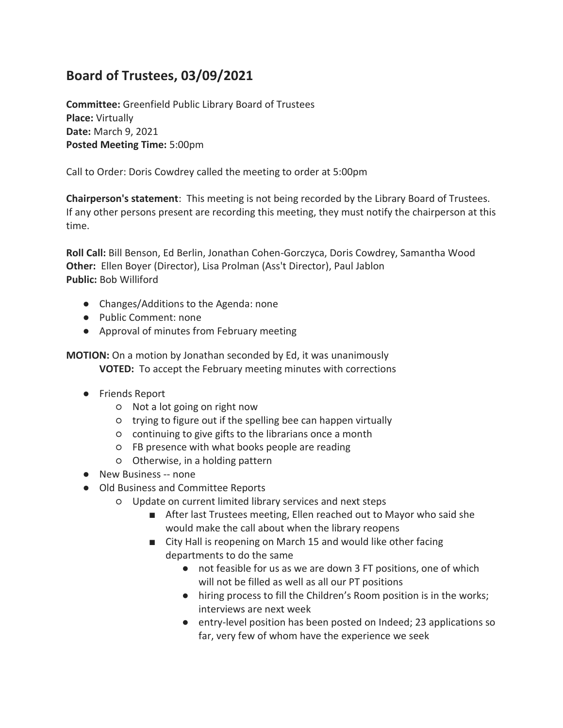## **Board of Trustees, 03/09/2021**

**Committee:** Greenfield Public Library Board of Trustees **Place:** Virtually **Date:** March 9, 2021 **Posted Meeting Time:** 5:00pm

Call to Order: Doris Cowdrey called the meeting to order at 5:00pm

**Chairperson's statement**: This meeting is not being recorded by the Library Board of Trustees. If any other persons present are recording this meeting, they must notify the chairperson at this time.

**Roll Call:** Bill Benson, Ed Berlin, Jonathan Cohen-Gorczyca, Doris Cowdrey, Samantha Wood **Other:** Ellen Boyer (Director), Lisa Prolman (Ass't Director), Paul Jablon **Public:** Bob Williford

- Changes/Additions to the Agenda: none
- Public Comment: none
- Approval of minutes from February meeting

**MOTION:** On a motion by Jonathan seconded by Ed, it was unanimously **VOTED:** To accept the February meeting minutes with corrections

- Friends Report
	- Not a lot going on right now
	- trying to figure out if the spelling bee can happen virtually
	- continuing to give gifts to the librarians once a month
	- FB presence with what books people are reading
	- Otherwise, in a holding pattern
- New Business -- none
- Old Business and Committee Reports
	- Update on current limited library services and next steps
		- After last Trustees meeting, Ellen reached out to Mayor who said she would make the call about when the library reopens
		- City Hall is reopening on March 15 and would like other facing departments to do the same
			- not feasible for us as we are down 3 FT positions, one of which will not be filled as well as all our PT positions
			- hiring process to fill the Children's Room position is in the works; interviews are next week
			- entry-level position has been posted on Indeed; 23 applications so far, very few of whom have the experience we seek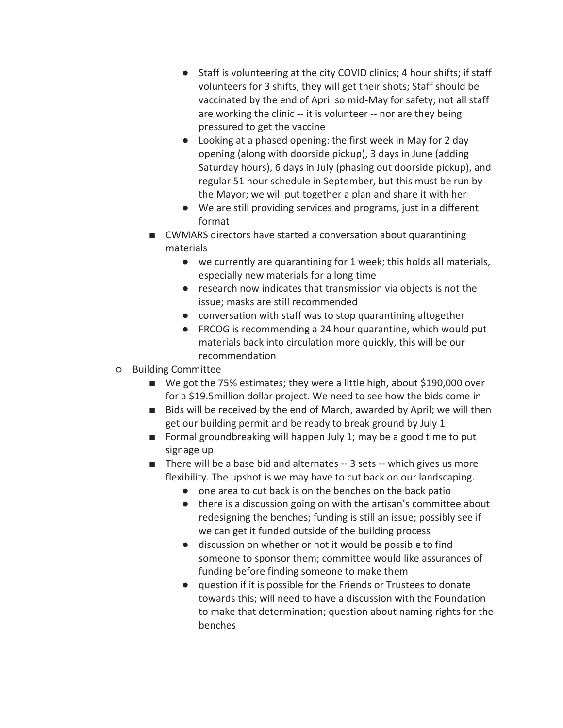- Staff is volunteering at the city COVID clinics; 4 hour shifts; if staff volunteers for 3 shifts, they will get their shots; Staff should be vaccinated by the end of April so mid-May for safety; not all staff are working the clinic -- it is volunteer -- nor are they being pressured to get the vaccine
- Looking at a phased opening: the first week in May for 2 day opening (along with doorside pickup), 3 days in June (adding Saturday hours), 6 days in July (phasing out doorside pickup), and regular 51 hour schedule in September, but this must be run by the Mayor; we will put together a plan and share it with her
- We are still providing services and programs, just in a different format
- CWMARS directors have started a conversation about quarantining materials
	- we currently are quarantining for 1 week; this holds all materials, especially new materials for a long time
	- research now indicates that transmission via objects is not the issue; masks are still recommended
	- conversation with staff was to stop quarantining altogether
	- FRCOG is recommending a 24 hour quarantine, which would put materials back into circulation more quickly, this will be our recommendation
- Building Committee
	- We got the 75% estimates; they were a little high, about \$190,000 over for a \$19.5million dollar project. We need to see how the bids come in
	- Bids will be received by the end of March, awarded by April; we will then get our building permit and be ready to break ground by July 1
	- Formal groundbreaking will happen July 1; may be a good time to put signage up
	- There will be a base bid and alternates -- 3 sets -- which gives us more flexibility. The upshot is we may have to cut back on our landscaping.
		- one area to cut back is on the benches on the back patio
		- there is a discussion going on with the artisan's committee about redesigning the benches; funding is still an issue; possibly see if we can get it funded outside of the building process
		- discussion on whether or not it would be possible to find someone to sponsor them; committee would like assurances of funding before finding someone to make them
		- question if it is possible for the Friends or Trustees to donate towards this; will need to have a discussion with the Foundation to make that determination; question about naming rights for the benches